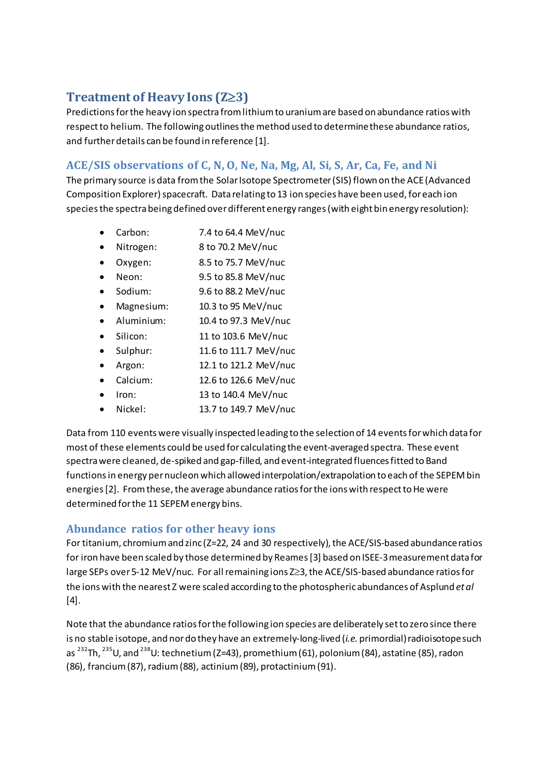# **Treatment of Heavy Ions (Z**≥**3)**

Predictions for the heavy ion spectra from lithium to uranium are based on abundance ratios with respect to helium. The following outlines the method used to determine these abundance ratios, and further details can be found in referenc[e \[1\].](#page-1-0)

## **ACE/SIS observations of C, N, O, Ne, Na, Mg, Al, Si, S, Ar, Ca, Fe, and Ni**

The primary source is data from the Solar Isotope Spectrometer (SIS) flown on the ACE (Advanced Composition Explorer) spacecraft. Data relating to 13 ion species have been used, for each ion species the spectra being defined over different energy ranges(with eight bin energy resolution):

- Carbon: 7.4 to 64.4 MeV/nuc
- Nitrogen: 8 to 70.2 MeV/nuc
- Oxygen: 8.5 to 75.7 MeV/nuc
- Neon: 9.5 to 85.8 MeV/nuc
- Sodium: 9.6 to 88.2 MeV/nuc
- Magnesium: 10.3 to 95 MeV/nuc
- Aluminium: 10.4 to 97.3 MeV/nuc
- Silicon: 11 to 103.6 MeV/nuc
- Sulphur: 11.6 to 111.7 MeV/nuc
- Argon: 12.1 to 121.2 MeV/nuc
- Calcium: 12.6 to 126.6 MeV/nuc
- Iron: 13 to 140.4 MeV/nuc
- Nickel: 13.7 to 149.7 MeV/nuc

Data from 110 events were visually inspected leading to the selection of 14 events for which data for most of these elements could be used for calculating the event-averaged spectra. These event spectra were cleaned, de-spiked and gap-filled, and event-integrated fluences fitted to Band functionsin energy per nucleon which allowed interpolation/extrapolation to each of the SEPEM bin energies [2]. From these, the average abundance ratios for the ions with respect to He were determined for the 11 SEPEM energy bins.

### **Abundance ratios for other heavy ions**

For titanium, chromium and zinc (Z=22, 24 and 30 respectively), the ACE/SIS-based abundance ratios for iron have been scaled by those determined by Reame[s \[3\]](#page-1-2) based on ISEE-3 measurement data for large SEPs over 5-12 MeV/nuc. For all remaining ions Z≥3, the ACE/SIS-based abundance ratiosfor the ions with the nearest Z were scaled according to the photospheric abundances of Asplund *et al* [\[4\].](#page-1-3)

Note that the abundance ratios for the following ion species are deliberately set to zero since there is no stable isotope, and nordo they have an extremely-long-lived (*i.e.* primordial) radioisotopesuch as <sup>232</sup>Th, <sup>235</sup>U, and <sup>238</sup>U: technetium (Z=43), promethium (61), polonium (84), astatine (85), radon (86), francium (87), radium (88), actinium (89), protactinium (91).